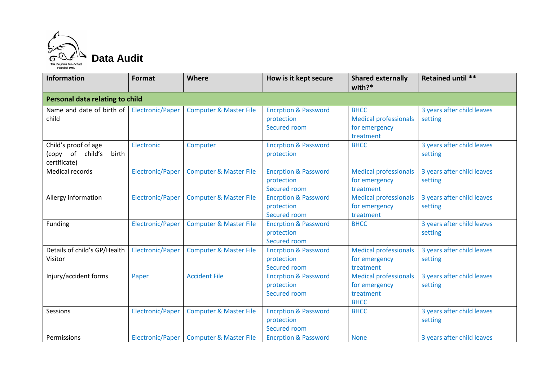

| <b>Information</b>                                                | <b>Format</b>    | Where                             | How is it kept secure                                         | <b>Shared externally</b><br>with? $*$                                     | Retained until **                     |  |  |
|-------------------------------------------------------------------|------------------|-----------------------------------|---------------------------------------------------------------|---------------------------------------------------------------------------|---------------------------------------|--|--|
| Personal data relating to child                                   |                  |                                   |                                                               |                                                                           |                                       |  |  |
| Name and date of birth of<br>child                                | Electronic/Paper | <b>Computer &amp; Master File</b> | <b>Encrption &amp; Password</b><br>protection<br>Secured room | <b>BHCC</b><br><b>Medical professionals</b><br>for emergency<br>treatment | 3 years after child leaves<br>setting |  |  |
| Child's proof of age<br>(copy of child's<br>birth<br>certificate) | Electronic       | Computer                          | <b>Encrption &amp; Password</b><br>protection                 | <b>BHCC</b>                                                               | 3 years after child leaves<br>setting |  |  |
| Medical records                                                   | Electronic/Paper | <b>Computer &amp; Master File</b> | <b>Encrption &amp; Password</b><br>protection<br>Secured room | <b>Medical professionals</b><br>for emergency<br>treatment                | 3 years after child leaves<br>setting |  |  |
| Allergy information                                               | Electronic/Paper | <b>Computer &amp; Master File</b> | <b>Encrption &amp; Password</b><br>protection<br>Secured room | <b>Medical professionals</b><br>for emergency<br>treatment                | 3 years after child leaves<br>setting |  |  |
| Funding                                                           | Electronic/Paper | <b>Computer &amp; Master File</b> | <b>Encrption &amp; Password</b><br>protection<br>Secured room | <b>BHCC</b>                                                               | 3 years after child leaves<br>setting |  |  |
| Details of child's GP/Health<br>Visitor                           | Electronic/Paper | <b>Computer &amp; Master File</b> | <b>Encrption &amp; Password</b><br>protection<br>Secured room | <b>Medical professionals</b><br>for emergency<br>treatment                | 3 years after child leaves<br>setting |  |  |
| Injury/accident forms                                             | Paper            | <b>Accident File</b>              | <b>Encrption &amp; Password</b><br>protection<br>Secured room | <b>Medical professionals</b><br>for emergency<br>treatment<br><b>BHCC</b> | 3 years after child leaves<br>setting |  |  |
| Sessions                                                          | Electronic/Paper | <b>Computer &amp; Master File</b> | <b>Encrption &amp; Password</b><br>protection<br>Secured room | <b>BHCC</b>                                                               | 3 years after child leaves<br>setting |  |  |
| Permissions                                                       | Electronic/Paper | <b>Computer &amp; Master File</b> | <b>Encrption &amp; Password</b>                               | <b>None</b>                                                               | 3 years after child leaves            |  |  |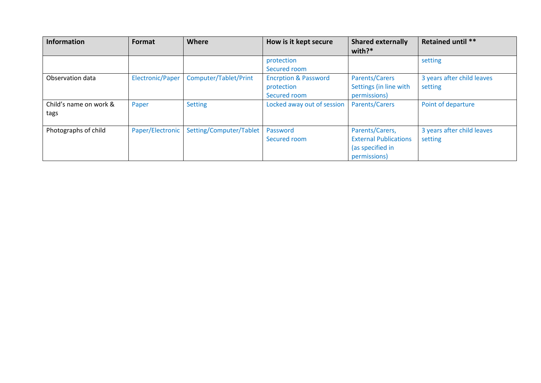| <b>Information</b>             | Format           | Where                   | How is it kept secure                                         | <b>Shared externally</b><br>with? $*$                                               | Retained until **                     |
|--------------------------------|------------------|-------------------------|---------------------------------------------------------------|-------------------------------------------------------------------------------------|---------------------------------------|
|                                |                  |                         | protection<br>Secured room                                    |                                                                                     | setting                               |
| Observation data               | Electronic/Paper | Computer/Tablet/Print   | <b>Encrption &amp; Password</b><br>protection<br>Secured room | <b>Parents/Carers</b><br>Settings (in line with<br>permissions)                     | 3 years after child leaves<br>setting |
| Child's name on work &<br>tags | Paper            | <b>Setting</b>          | Locked away out of session                                    | <b>Parents/Carers</b>                                                               | Point of departure                    |
| Photographs of child           | Paper/Electronic | Setting/Computer/Tablet | Password<br>Secured room                                      | Parents/Carers,<br><b>External Publications</b><br>(as specified in<br>permissions) | 3 years after child leaves<br>setting |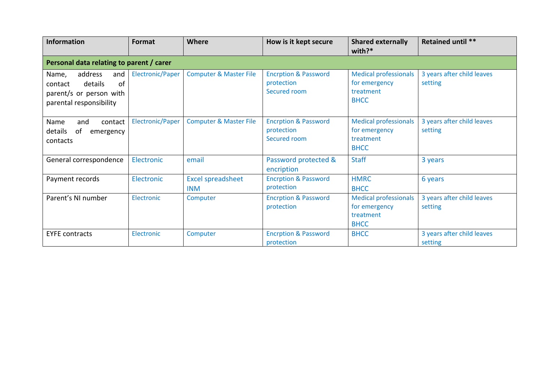| <b>Information</b>                                                                                                   | <b>Format</b>    | <b>Where</b>                           | How is it kept secure                                         | <b>Shared externally</b><br>with?*                                        | Retained until **                     |  |  |
|----------------------------------------------------------------------------------------------------------------------|------------------|----------------------------------------|---------------------------------------------------------------|---------------------------------------------------------------------------|---------------------------------------|--|--|
| Personal data relating to parent / carer                                                                             |                  |                                        |                                                               |                                                                           |                                       |  |  |
| address<br>Name,<br>and<br><sub>of</sub><br>details<br>contact<br>parent/s or person with<br>parental responsibility | Electronic/Paper | <b>Computer &amp; Master File</b>      | <b>Encrption &amp; Password</b><br>protection<br>Secured room | <b>Medical professionals</b><br>for emergency<br>treatment<br><b>BHCC</b> | 3 years after child leaves<br>setting |  |  |
| Name<br>contact<br>and<br>details<br>of<br>emergency<br>contacts                                                     | Electronic/Paper | <b>Computer &amp; Master File</b>      | <b>Encrption &amp; Password</b><br>protection<br>Secured room | <b>Medical professionals</b><br>for emergency<br>treatment<br><b>BHCC</b> | 3 years after child leaves<br>setting |  |  |
| General correspondence                                                                                               | Electronic       | email                                  | Password protected &<br>encription                            | <b>Staff</b>                                                              | 3 years                               |  |  |
| Payment records                                                                                                      | Electronic       | <b>Excel spreadsheet</b><br><b>INM</b> | <b>Encrption &amp; Password</b><br>protection                 | <b>HMRC</b><br><b>BHCC</b>                                                | 6 years                               |  |  |
| Parent's NI number                                                                                                   | Electronic       | Computer                               | <b>Encrption &amp; Password</b><br>protection                 | <b>Medical professionals</b><br>for emergency<br>treatment<br><b>BHCC</b> | 3 years after child leaves<br>setting |  |  |
| <b>EYFE contracts</b>                                                                                                | Electronic       | Computer                               | <b>Encrption &amp; Password</b><br>protection                 | <b>BHCC</b>                                                               | 3 years after child leaves<br>setting |  |  |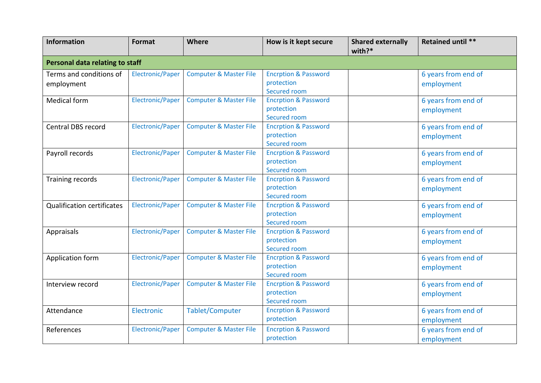| <b>Information</b>                    | Format                  | <b>Where</b>                      | How is it kept secure                                         | <b>Shared externally</b><br>with? $*$ | <b>Retained until **</b>          |  |  |
|---------------------------------------|-------------------------|-----------------------------------|---------------------------------------------------------------|---------------------------------------|-----------------------------------|--|--|
| Personal data relating to staff       |                         |                                   |                                                               |                                       |                                   |  |  |
| Terms and conditions of<br>employment | Electronic/Paper        | <b>Computer &amp; Master File</b> | <b>Encrption &amp; Password</b><br>protection<br>Secured room |                                       | 6 years from end of<br>employment |  |  |
| <b>Medical form</b>                   | Electronic/Paper        | <b>Computer &amp; Master File</b> | <b>Encrption &amp; Password</b><br>protection<br>Secured room |                                       | 6 years from end of<br>employment |  |  |
| Central DBS record                    | Electronic/Paper        | <b>Computer &amp; Master File</b> | <b>Encrption &amp; Password</b><br>protection<br>Secured room |                                       | 6 years from end of<br>employment |  |  |
| Payroll records                       | Electronic/Paper        | <b>Computer &amp; Master File</b> | <b>Encrption &amp; Password</b><br>protection<br>Secured room |                                       | 6 years from end of<br>employment |  |  |
| Training records                      | Electronic/Paper        | <b>Computer &amp; Master File</b> | <b>Encrption &amp; Password</b><br>protection<br>Secured room |                                       | 6 years from end of<br>employment |  |  |
| <b>Qualification certificates</b>     | Electronic/Paper        | <b>Computer &amp; Master File</b> | <b>Encrption &amp; Password</b><br>protection<br>Secured room |                                       | 6 years from end of<br>employment |  |  |
| Appraisals                            | Electronic/Paper        | <b>Computer &amp; Master File</b> | <b>Encrption &amp; Password</b><br>protection<br>Secured room |                                       | 6 years from end of<br>employment |  |  |
| Application form                      | <b>Electronic/Paper</b> | <b>Computer &amp; Master File</b> | <b>Encrption &amp; Password</b><br>protection<br>Secured room |                                       | 6 years from end of<br>employment |  |  |
| Interview record                      | Electronic/Paper        | <b>Computer &amp; Master File</b> | <b>Encrption &amp; Password</b><br>protection<br>Secured room |                                       | 6 years from end of<br>employment |  |  |
| Attendance                            | Electronic              | Tablet/Computer                   | <b>Encrption &amp; Password</b><br>protection                 |                                       | 6 years from end of<br>employment |  |  |
| References                            | <b>Electronic/Paper</b> | <b>Computer &amp; Master File</b> | <b>Encrption &amp; Password</b><br>protection                 |                                       | 6 years from end of<br>employment |  |  |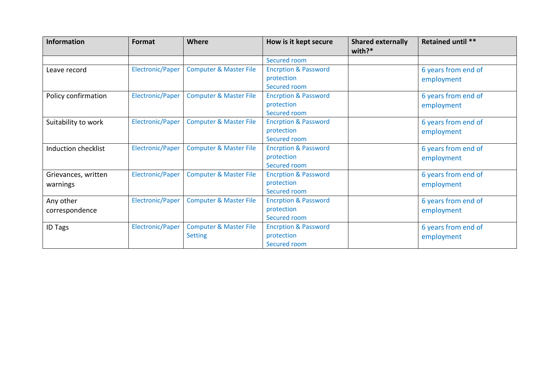| <b>Information</b>  | <b>Format</b>           | <b>Where</b>                      | How is it kept secure           | <b>Shared externally</b><br>with?* | <b>Retained until **</b> |
|---------------------|-------------------------|-----------------------------------|---------------------------------|------------------------------------|--------------------------|
|                     |                         |                                   | Secured room                    |                                    |                          |
| Leave record        | Electronic/Paper        | <b>Computer &amp; Master File</b> | <b>Encrption &amp; Password</b> |                                    | 6 years from end of      |
|                     |                         |                                   | protection                      |                                    | employment               |
|                     |                         |                                   | Secured room                    |                                    |                          |
| Policy confirmation | Electronic/Paper        | <b>Computer &amp; Master File</b> | <b>Encrption &amp; Password</b> |                                    | 6 years from end of      |
|                     |                         |                                   | protection                      |                                    | employment               |
|                     |                         |                                   | Secured room                    |                                    |                          |
| Suitability to work | <b>Electronic/Paper</b> | <b>Computer &amp; Master File</b> | <b>Encrption &amp; Password</b> |                                    | 6 years from end of      |
|                     |                         |                                   | protection                      |                                    | employment               |
|                     |                         |                                   | Secured room                    |                                    |                          |
| Induction checklist | Electronic/Paper        | <b>Computer &amp; Master File</b> | <b>Encrption &amp; Password</b> |                                    | 6 years from end of      |
|                     |                         |                                   | protection                      |                                    | employment               |
|                     |                         |                                   | Secured room                    |                                    |                          |
| Grievances, written | <b>Electronic/Paper</b> | <b>Computer &amp; Master File</b> | <b>Encrption &amp; Password</b> |                                    | 6 years from end of      |
| warnings            |                         |                                   | protection                      |                                    | employment               |
|                     |                         |                                   | Secured room                    |                                    |                          |
| Any other           | Electronic/Paper        | <b>Computer &amp; Master File</b> | <b>Encrption &amp; Password</b> |                                    | 6 years from end of      |
| correspondence      |                         |                                   | protection                      |                                    | employment               |
|                     |                         |                                   | Secured room                    |                                    |                          |
| <b>ID Tags</b>      | Electronic/Paper        | <b>Computer &amp; Master File</b> | <b>Encrption &amp; Password</b> |                                    | 6 years from end of      |
|                     |                         | <b>Setting</b>                    | protection                      |                                    | employment               |
|                     |                         |                                   | Secured room                    |                                    |                          |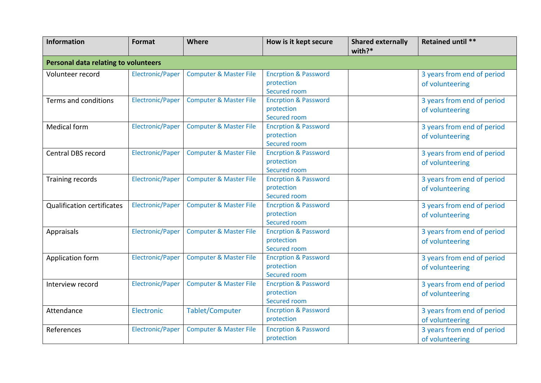| <b>Information</b>                | Format                                      | <b>Where</b>                      | How is it kept secure                                         | <b>Shared externally</b><br>$with?*$ | Retained until **                             |  |  |  |
|-----------------------------------|---------------------------------------------|-----------------------------------|---------------------------------------------------------------|--------------------------------------|-----------------------------------------------|--|--|--|
|                                   | <b>Personal data relating to volunteers</b> |                                   |                                                               |                                      |                                               |  |  |  |
| Volunteer record                  | Electronic/Paper                            | <b>Computer &amp; Master File</b> | <b>Encrption &amp; Password</b><br>protection<br>Secured room |                                      | 3 years from end of period<br>of volunteering |  |  |  |
| Terms and conditions              | Electronic/Paper                            | <b>Computer &amp; Master File</b> | <b>Encrption &amp; Password</b><br>protection<br>Secured room |                                      | 3 years from end of period<br>of volunteering |  |  |  |
| <b>Medical form</b>               | Electronic/Paper                            | <b>Computer &amp; Master File</b> | <b>Encrption &amp; Password</b><br>protection<br>Secured room |                                      | 3 years from end of period<br>of volunteering |  |  |  |
| <b>Central DBS record</b>         | Electronic/Paper                            | <b>Computer &amp; Master File</b> | <b>Encrption &amp; Password</b><br>protection<br>Secured room |                                      | 3 years from end of period<br>of volunteering |  |  |  |
| Training records                  | Electronic/Paper                            | <b>Computer &amp; Master File</b> | <b>Encrption &amp; Password</b><br>protection<br>Secured room |                                      | 3 years from end of period<br>of volunteering |  |  |  |
| <b>Qualification certificates</b> | Electronic/Paper                            | <b>Computer &amp; Master File</b> | <b>Encrption &amp; Password</b><br>protection<br>Secured room |                                      | 3 years from end of period<br>of volunteering |  |  |  |
| Appraisals                        | Electronic/Paper                            | <b>Computer &amp; Master File</b> | <b>Encrption &amp; Password</b><br>protection<br>Secured room |                                      | 3 years from end of period<br>of volunteering |  |  |  |
| Application form                  | Electronic/Paper                            | <b>Computer &amp; Master File</b> | <b>Encrption &amp; Password</b><br>protection<br>Secured room |                                      | 3 years from end of period<br>of volunteering |  |  |  |
| Interview record                  | Electronic/Paper                            | <b>Computer &amp; Master File</b> | <b>Encrption &amp; Password</b><br>protection<br>Secured room |                                      | 3 years from end of period<br>of volunteering |  |  |  |
| Attendance                        | Electronic                                  | Tablet/Computer                   | <b>Encrption &amp; Password</b><br>protection                 |                                      | 3 years from end of period<br>of volunteering |  |  |  |
| References                        | Electronic/Paper                            | <b>Computer &amp; Master File</b> | <b>Encrption &amp; Password</b><br>protection                 |                                      | 3 years from end of period<br>of volunteering |  |  |  |